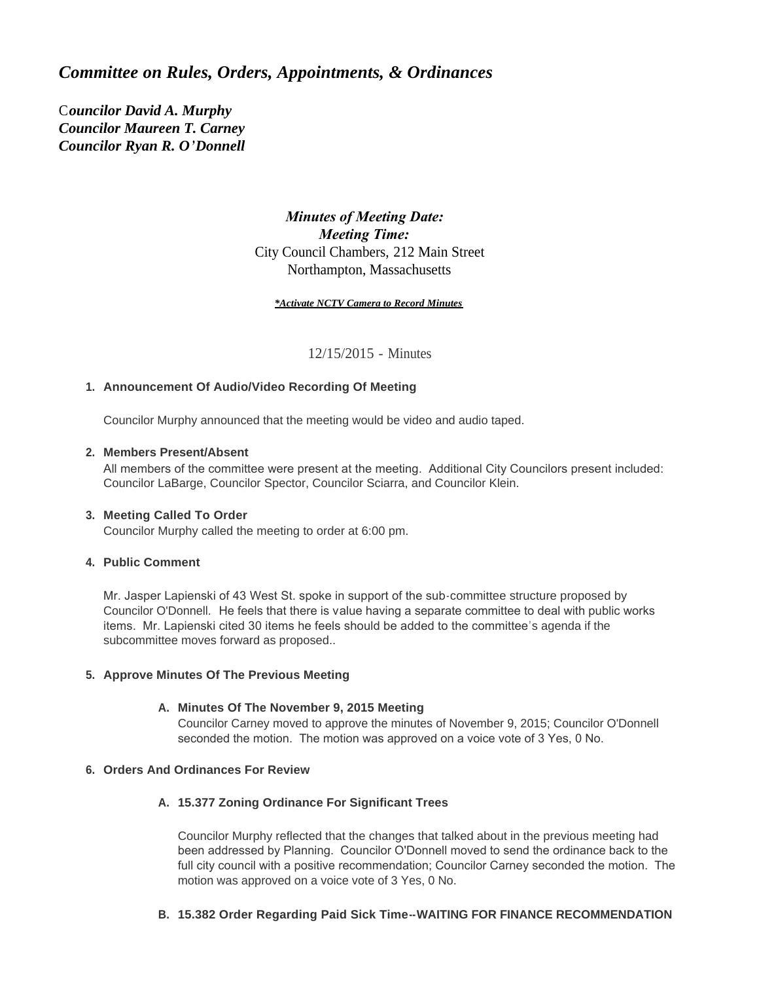# *Committee on Rules, Orders, Appointments, & Ordinances*

C*ouncilor David A. Murphy Councilor Maureen T. Carney Councilor Ryan R. O'Donnell*

## *Minutes of Meeting Date: Meeting Time:*  City Council Chambers, 212 Main Street Northampton, Massachusetts

#### *\*Activate NCTV Camera to Record Minutes*

12/15/2015 - Minutes

## **Announcement Of Audio/Video Recording Of Meeting 1.**

Councilor Murphy announced that the meeting would be video and audio taped.

## **Members Present/Absent 2.**

All members of the committee were present at the meeting. Additional City Councilors present included: Councilor LaBarge, Councilor Spector, Councilor Sciarra, and Councilor Klein.

#### **Meeting Called To Order 3.**

Councilor Murphy called the meeting to order at 6:00 pm.

### **Public Comment 4.**

Mr. Jasper Lapienski of 43 West St. spoke in support of the sub-committee structure proposed by Councilor O'Donnell. He feels that there is value having a separate committee to deal with public works items. Mr. Lapienski cited 30 items he feels should be added to the committee's agenda if the subcommittee moves forward as proposed..

#### **Approve Minutes Of The Previous Meeting 5.**

#### **Minutes Of The November 9, 2015 Meeting A.**

Councilor Carney moved to approve the minutes of November 9, 2015; Councilor O'Donnell seconded the motion. The motion was approved on a voice vote of 3 Yes, 0 No.

#### **Orders And Ordinances For Review 6.**

#### **15.377 Zoning Ordinance For Significant Trees A.**

Councilor Murphy reflected that the changes that talked about in the previous meeting had been addressed by Planning. Councilor O'Donnell moved to send the ordinance back to the full city council with a positive recommendation; Councilor Carney seconded the motion. The motion was approved on a voice vote of 3 Yes, 0 No.

### **15.382 Order Regarding Paid Sick Time--WAITING FOR FINANCE RECOMMENDATION B.**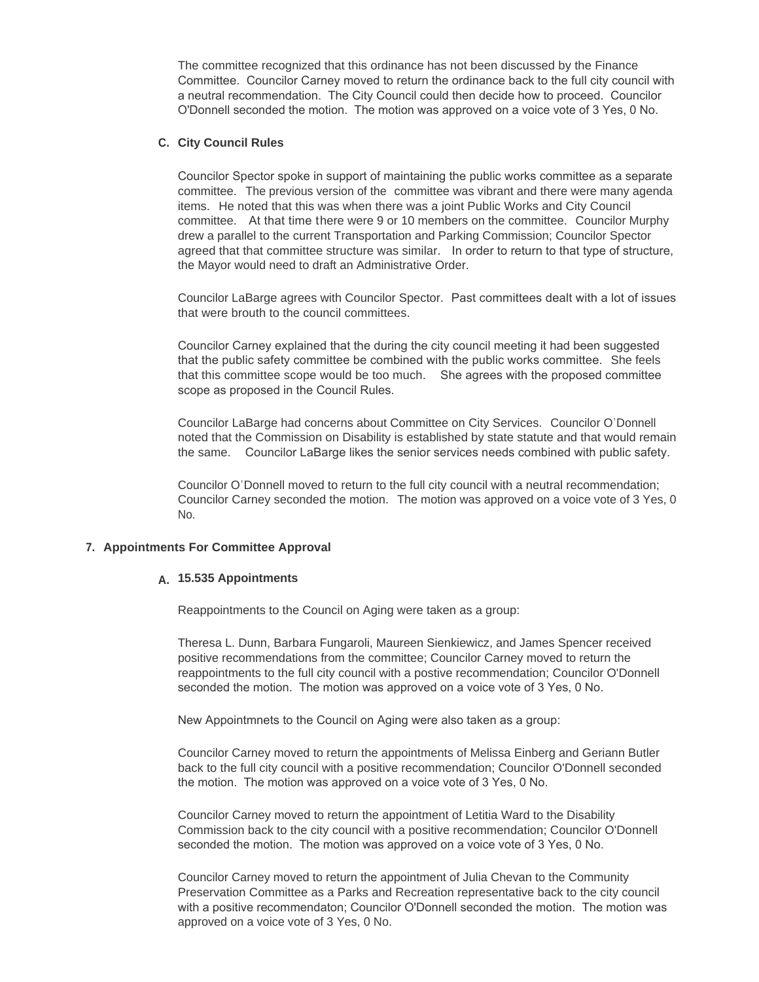The committee recognized that this ordinance has not been discussed by the Finance Committee. Councilor Carney moved to return the ordinance back to the full city council with a neutral recommendation. The City Council could then decide how to proceed. Councilor O'Donnell seconded the motion. The motion was approved on a voice vote of 3 Yes, 0 No.

#### **City Council Rules C.**

Councilor Spector spoke in support of maintaining the public works committee as a separate committee. The previous version of the committee was vibrant and there were many agenda items. He noted that this was when there was a joint Public Works and City Council committee. At that time there were 9 or 10 members on the committee. Councilor Murphy drew a parallel to the current Transportation and Parking Commission; Councilor Spector agreed that that committee structure was similar. In order to return to that type of structure, the Mayor would need to draft an Administrative Order.

Councilor LaBarge agrees with Councilor Spector. Past committees dealt with a lot of issues that were brouth to the council committees.

Councilor Carney explained that the during the city council meeting it had been suggested that the public safety committee be combined with the public works committee. She feels that this committee scope would be too much. She agrees with the proposed committee scope as proposed in the Council Rules.

Councilor LaBarge had concerns about Committee on City Services. Councilor O'Donnell noted that the Commission on Disability is established by state statute and that would remain the same. Councilor LaBarge likes the senior services needs combined with public safety.

Councilor O'Donnell moved to return to the full city council with a neutral recommendation; Councilor Carney seconded the motion. The motion was approved on a voice vote of 3 Yes, 0 No.

#### **Appointments For Committee Approval 7.**

## **15.535 Appointments A.**

Reappointments to the Council on Aging were taken as a group:

Theresa L. Dunn, Barbara Fungaroli, Maureen Sienkiewicz, and James Spencer received positive recommendations from the committee; Councilor Carney moved to return the reappointments to the full city council with a postive recommendation; Councilor O'Donnell seconded the motion. The motion was approved on a voice vote of 3 Yes, 0 No.

New Appointmnets to the Council on Aging were also taken as a group:

Councilor Carney moved to return the appointments of Melissa Einberg and Geriann Butler back to the full city council with a positive recommendation; Councilor O'Donnell seconded the motion. The motion was approved on a voice vote of 3 Yes, 0 No.

Councilor Carney moved to return the appointment of Letitia Ward to the Disability Commission back to the city council with a positive recommendation; Councilor O'Donnell seconded the motion. The motion was approved on a voice vote of 3 Yes, 0 No.

Councilor Carney moved to return the appointment of Julia Chevan to the Community Preservation Committee as a Parks and Recreation representative back to the city council with a positive recommendaton; Councilor O'Donnell seconded the motion. The motion was approved on a voice vote of 3 Yes, 0 No.